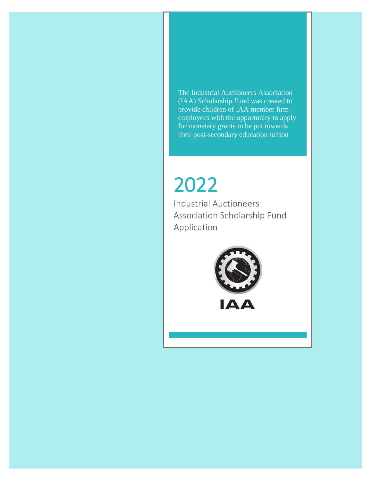The Industrial Auctioneers Association (IAA) Scholarship Fund was created to provide children of IAA member firm employees with the opportunity to apply for monetary grants to be put towards their post-secondary education tuition

# 2022<br>Industrial Auctioneers

Association Scholarship Fund Application



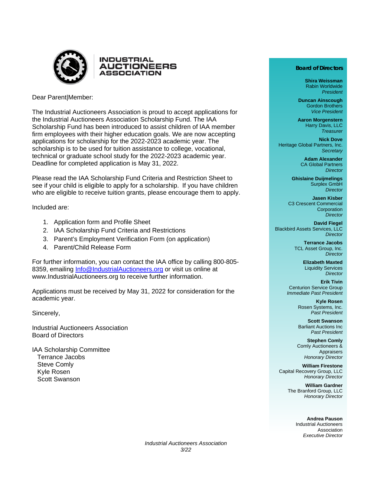

Dear Parent|Member:

The Industrial Auctioneers Association is proud to accept applications for the Industrial Auctioneers Association Scholarship Fund. The IAA Scholarship Fund has been introduced to assist children of IAA member firm employees with their higher education goals. We are now accepting applications for scholarship for the 2022-2023 academic year. The scholarship is to be used for tuition assistance to college, vocational, technical or graduate school study for the 2022-2023 academic year. Deadline for completed application is May 31, 2022.

Please read the IAA Scholarship Fund Criteria and Restriction Sheet to see if your child is eligible to apply for a scholarship. If you have children who are eligible to receive tuition grants, please encourage them to apply.

Included are:

- 1. Application form and Profile Sheet
- 2. IAA Scholarship Fund Criteria and Restrictions
- 3. Parent's Employment Verification Form (on application)
- 4. Parent/Child Release Form

For further information, you can contact the IAA office by calling 800-805- 8359, emailing [Info@IndustrialAuctioneers.org](mailto:Info@IndustrialAuctioneers.org) or visit us online at www.IndustrialAuctioneers.org to receive further information.

Applications must be received by May 31, 2022 for consideration for the academic year.

Sincerely,

Industrial Auctioneers Association Board of Directors

IAA Scholarship Committee Terrance Jacobs Steve Comly Kyle Rosen Scott Swanson

#### **Board of Directors**

**Shira Weissman** Rabin Worldwide *President*

**Duncan Ainscough** Gordon Brothers *Vice President*

**Aaron Morgenstern** Harry Davis, LLC *Treasurer*

**Nick Dove** Heritage Global Partners, Inc. *Secretary*

> **Adam Alexander** CA Global Partners *Director*

**Ghislaine Duijmelings** Surplex GmbH *Director*

**Jasen Kisber** C3 Crescent Commercial **Corporation** *Director*

**David Fiegel** Blackbird Assets Services, LLC *Director*

> **Terrance Jacobs** TCL Asset Group, Inc. *Director*

> > **Elizabeth Maxted** Liquidity Services *Director*

**Erik Tivin** Centurion Service Group *Immediate Past President*

> **Kyle Rosen** Rosen Systems, Inc. *Past President*

> **Scott Swanson** Barliant Auctions Inc *Past President*

**Stephen Comly** Comly Auctioneers & Appraisers *Honorary Director*

**William Firestone** Capital Recovery Group, LLC *Honorary Director*

> **William Gardner** The Branford Group, LLC *Honorary Director*

> > **Andrea Pauson** Industrial Auctioneers Association *Executive Director*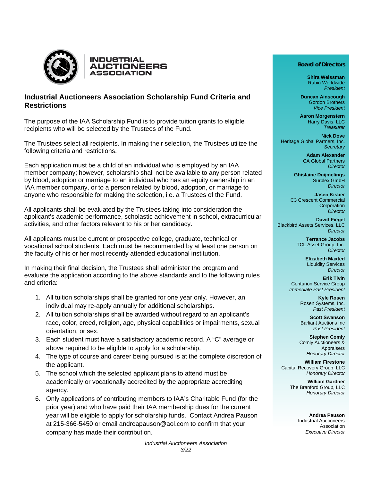



## **Industrial Auctioneers Association Scholarship Fund Criteria and Restrictions**

The purpose of the IAA Scholarship Fund is to provide tuition grants to eligible recipients who will be selected by the Trustees of the Fund.

The Trustees select all recipients. In making their selection, the Trustees utilize the following criteria and restrictions.

Each application must be a child of an individual who is employed by an IAA member company; however, scholarship shall not be available to any person related by blood, adoption or marriage to an individual who has an equity ownership in an IAA member company, or to a person related by blood, adoption, or marriage to anyone who responsible for making the selection, i.e. a Trustees of the Fund.

All applicants shall be evaluated by the Trustees taking into consideration the applicant's academic performance, scholastic achievement in school, extracurricular activities, and other factors relevant to his or her candidacy.

All applicants must be current or prospective college, graduate, technical or vocational school students. Each must be recommended by at least one person on the faculty of his or her most recently attended educational institution.

In making their final decision, the Trustees shall administer the program and evaluate the application according to the above standards and to the following rules and criteria:

- 1. All tuition scholarships shall be granted for one year only. However, an individual may re-apply annually for additional scholarships.
- 2. All tuition scholarships shall be awarded without regard to an applicant's race, color, creed, religion, age, physical capabilities or impairments, sexual orientation, or sex.
- 3. Each student must have a satisfactory academic record. A "C" average or above required to be eligible to apply for a scholarship.
- 4. The type of course and career being pursued is at the complete discretion of the applicant.
- 5. The school which the selected applicant plans to attend must be academically or vocationally accredited by the appropriate accrediting agency.
- 6. Only applications of contributing members to IAA's Charitable Fund (for the prior year) and who have paid their IAA membership dues for the current year will be eligible to apply for scholarship funds. Contact Andrea Pauson at 215-366-5450 or email andreapauson@aol.com to confirm that your company has made their contribution.

#### **Board of Directors**

**Shira Weissman** Rabin Worldwide *President*

**Duncan Ainscough** Gordon Brothers *Vice President*

**Aaron Morgenstern** Harry Davis, LLC *Treasurer*

**Nick Dove** Heritage Global Partners, Inc. *Secretary*

> **Adam Alexander** CA Global Partners *Director*

**Ghislaine Duijmelings** Surplex GmbH *Director*

**Jasen Kisber** C3 Crescent Commercial **Corporation** *Director*

**David Fiegel** Blackbird Assets Services, LLC *Director*

> **Terrance Jacobs** TCL Asset Group, Inc. *Director*

> > **Elizabeth Maxted** Liquidity Services *Director*

**Erik Tivin** Centurion Service Group *Immediate Past President*

> **Kyle Rosen** Rosen Systems, Inc. *Past President*

> **Scott Swanson** Barliant Auctions Inc *Past President*

**Stephen Comly** Comly Auctioneers & Appraisers *Honorary Director*

**William Firestone** Capital Recovery Group, LLC *Honorary Director*

> **William Gardner** The Branford Group, LLC *Honorary Director*

> > **Andrea Pauson** Industrial Auctioneers Association *Executive Director*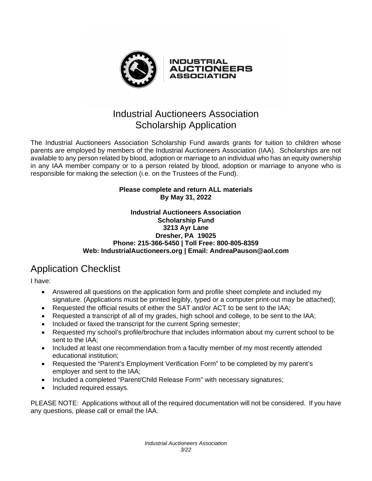

The Industrial Auctioneers Association Scholarship Fund awards grants for tuition to children whose parents are employed by members of the Industrial Auctioneers Association (IAA). Scholarships are not available to any person related by blood, adoption or marriage to an individual who has an equity ownership in any IAA member company or to a person related by blood, adoption or marriage to anyone who is responsible for making the selection (i.e. on the Trustees of the Fund).

## **Please complete and return ALL materials By May 31, 2022**

### **Industrial Auctioneers Association Scholarship Fund 3213 Ayr Lane Dresher, PA 19025 Phone: 215-366-5450 | Toll Free: 800-805-8359 Web: [IndustrialAuctioneers.org](mailto:IndustrialAuctioneers.org) | Email: [AndreaPauson@aol.com](mailto:AndreaPauson@aol.com)**

# Application Checklist

I have:

- Answered all questions on the application form and profile sheet complete and included my signature. (Applications must be printed legibly, typed or a computer print-out may be attached);
- Requested the official results of either the SAT and/or ACT to be sent to the IAA;
- Requested a transcript of all of my grades, high school and college, to be sent to the IAA;
- Included or faxed the transcript for the current Spring semester;
- Requested my school's profile/brochure that includes information about my current school to be sent to the IAA;
- Included at least one recommendation from a faculty member of my most recently attended educational institution;
- Requested the "Parent's Employment Verification Form" to be completed by my parent's employer and sent to the IAA;
- Included a completed "Parent/Child Release Form" with necessary signatures;
- Included required essays.

PLEASE NOTE: Applications without all of the required documentation will not be considered. If you have any questions, please call or email the IAA.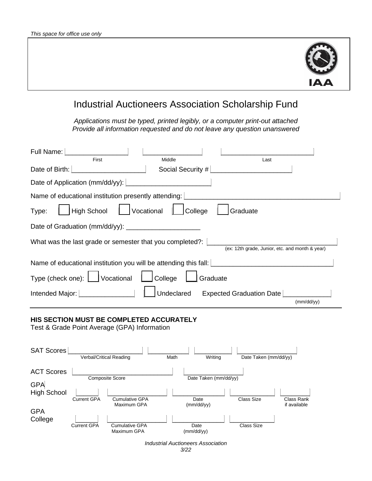

# Industrial Auctioneers Association Scholarship Fund

*Applications must be typed, printed legibly, or a computer print-out attached Provide all information requested and do not leave any question unanswered*

| Full Name:                                                                               |                                                            |                                                 |            |  |
|------------------------------------------------------------------------------------------|------------------------------------------------------------|-------------------------------------------------|------------|--|
| First<br>Date of Birth:                                                                  | Middle<br>Social Security #                                | Last                                            |            |  |
| Date of Application (mm/dd/yy):                                                          |                                                            |                                                 |            |  |
| Name of educational institution presently attending:                                     |                                                            |                                                 |            |  |
| <b>High School</b><br>Type:                                                              | Vocational<br>College                                      | Graduate                                        |            |  |
| Date of Graduation (mm/dd/yy):                                                           |                                                            |                                                 |            |  |
| What was the last grade or semester that you completed?:                                 |                                                            | (ex: 12th grade, Junior, etc. and month & year) |            |  |
| Name of educational institution you will be attending this fall:                         |                                                            |                                                 |            |  |
| Type (check one): [<br>Vocational                                                        | College                                                    | Graduate                                        |            |  |
| $\mathbb{R}^n \times \mathbb{R}^n \times \mathbb{R}^n$<br>Intended Major:                | Undeclared                                                 | Expected Graduation Date                        | (mm/dd/vv) |  |
| HIS SECTION MUST BE COMPLETED ACCURATELY<br>Test & Grade Point Average (GPA) Information |                                                            |                                                 |            |  |
| <b>SAT Scores</b><br>Verbal/Critical Reading                                             | Math                                                       | Date Taken (mm/dd/yy)<br>Writing                |            |  |
| <b>ACT Scores</b><br>Composite Score                                                     |                                                            | Date Taken (mm/dd/yy)                           |            |  |
| <b>GPA</b><br><b>High School</b><br><b>Current GPA</b>                                   | <b>Cumulative GPA</b><br>Date<br>Maximum GPA<br>(mm/dd/yy) | Class Size<br><b>Class Rank</b><br>if available |            |  |
| <b>GPA</b><br>College<br><b>Current GPA</b>                                              | <b>Cumulative GPA</b><br>Date<br>Maximum GPA<br>(mm/dd/yy) | <b>Class Size</b>                               |            |  |
| <b>Industrial Auctioneers Association</b><br>3/22                                        |                                                            |                                                 |            |  |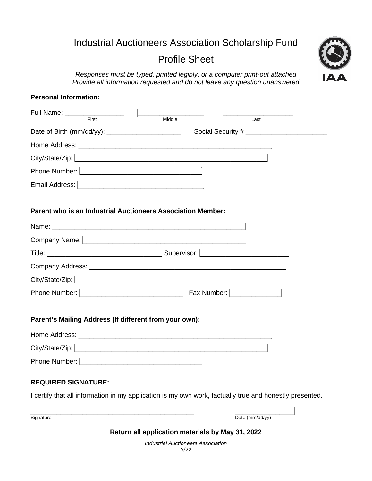# Industrial Auctioneers Association Scholarship Fund

# Profile Sheet

*Responses must be typed, printed legibly, or a computer print-out attached Provide all information requested and do not leave any question unanswered*



## **Personal Information:**

| Full Name:                  | First                     | Middle |                   | Last |  |
|-----------------------------|---------------------------|--------|-------------------|------|--|
|                             | Date of Birth (mm/dd/yy): |        | Social Security # |      |  |
| Home Address:               |                           |        |                   |      |  |
| City/State/Zip:   _________ |                           |        |                   |      |  |
| Phone Number:               |                           |        |                   |      |  |
| Email Address:              |                           |        |                   |      |  |

## **Parent who is an Industrial Auctioneers Association Member:**

| Company Name: [                   |                         |
|-----------------------------------|-------------------------|
|                                   | Supervisor: Supervisor: |
| Company Address: ______           |                         |
| City/State/Zip:   _______________ |                         |
| Phone Number:                     | Fax Number:             |

#### **Parent's Mailing Address (If different from your own):**

| Home Address:   |  |
|-----------------|--|
| City/State/Zip: |  |
| Phone Number:   |  |

## **REQUIRED SIGNATURE:**

I certify that all information in my application is my own work, factually true and honestly presented.

\_\_\_\_\_\_\_\_\_\_\_\_\_\_\_\_\_\_\_\_\_\_\_\_\_\_\_\_\_\_\_\_\_\_\_\_\_\_\_\_\_\_\_\_ \_\_\_\_\_\_\_\_\_\_\_\_\_\_\_\_ Signature Date (mm/dd/yy)

#### **Return all application materials by May 31, 2022**

*Industrial Auctioneers Association 3/22*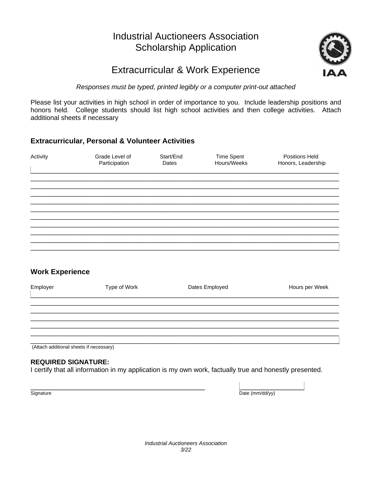

# Extracurricular & Work Experience

## *Responses must be typed, printed legibly or a computer print-out attached*

Please list your activities in high school in order of importance to you. Include leadership positions and honors held. College students should list high school activities and then college activities. Attach additional sheets if necessary

## **Extracurricular, Personal & Volunteer Activities**

| Activity | Grade Level of<br>Participation | Start/End<br>Dates | <b>Time Spent</b><br>Hours/Weeks | <b>Positions Held</b><br>Honors, Leadership |
|----------|---------------------------------|--------------------|----------------------------------|---------------------------------------------|
|          |                                 |                    |                                  |                                             |
|          |                                 |                    |                                  |                                             |
|          |                                 |                    |                                  |                                             |
|          |                                 |                    |                                  |                                             |

## **Work Experience**

| Employer | Type of Work | Dates Employed | Hours per Week |
|----------|--------------|----------------|----------------|
|          |              |                |                |
|          |              |                |                |
|          |              |                |                |
|          |              |                |                |

(Attach additional sheets if necessary)

## **REQUIRED SIGNATURE:**

I certify that all information in my application is my own work, factually true and honestly presented.

\_\_\_\_\_\_\_\_\_\_\_\_\_\_\_\_\_\_\_\_\_\_\_\_\_\_\_\_\_\_\_\_\_\_\_\_\_\_\_\_\_\_\_ \_\_\_\_\_\_\_\_\_\_\_\_\_\_\_\_ Signature Date (mm/dd/yy)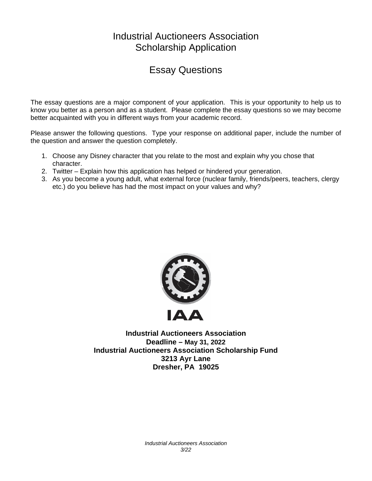# Essay Questions

The essay questions are a major component of your application. This is your opportunity to help us to know you better as a person and as a student. Please complete the essay questions so we may become better acquainted with you in different ways from your academic record.

Please answer the following questions. Type your response on additional paper, include the number of the question and answer the question completely.

- 1. Choose any Disney character that you relate to the most and explain why you chose that character.
- 2. Twitter Explain how this application has helped or hindered your generation.
- 3. As you become a young adult, what external force (nuclear family, friends/peers, teachers, clergy etc.) do you believe has had the most impact on your values and why?



**Industrial Auctioneers Association Deadline – May 31, 2022 Industrial Auctioneers Association Scholarship Fund 3213 Ayr Lane Dresher, PA 19025**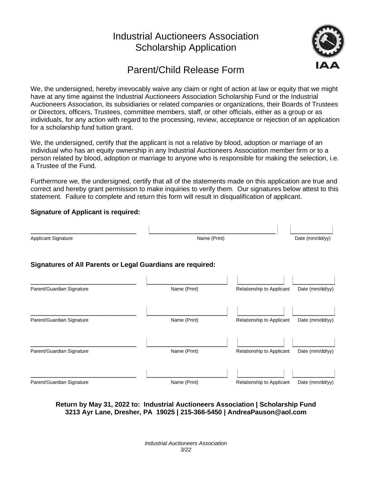

# Parent/Child Release Form

We, the undersigned, hereby irrevocably waive any claim or right of action at law or equity that we might have at any time against the Industrial Auctioneers Association Scholarship Fund or the Industrial Auctioneers Association, its subsidiaries or related companies or organizations, their Boards of Trustees or Directors, officers, Trustees, committee members, staff, or other officials, either as a group or as individuals, for any action with regard to the processing, review, acceptance or rejection of an application for a scholarship fund tuition grant.

We, the undersigned, certify that the applicant is not a relative by blood, adoption or marriage of an individual who has an equity ownership in any Industrial Auctioneers Association member firm or to a person related by blood, adoption or marriage to anyone who is responsible for making the selection, i.e. a Trustee of the Fund.

Furthermore we, the undersigned, certify that all of the statements made on this application are true and correct and hereby grant permission to make inquiries to verify them. Our signatures below attest to this statement. Failure to complete and return this form will result in disqualification of applicant.

## **Signature of Applicant is required:**

| <b>Applicant Signature</b>                                 | Name (Print) |                           | Date (mm/dd/yy) |
|------------------------------------------------------------|--------------|---------------------------|-----------------|
| Signatures of All Parents or Legal Guardians are required: |              |                           |                 |
| Parent/Guardian Signature                                  | Name (Print) | Relationship to Applicant | Date (mm/dd/yy) |
| Parent/Guardian Signature                                  | Name (Print) | Relationship to Applicant | Date (mm/dd/yy) |
| Parent/Guardian Signature                                  | Name (Print) | Relationship to Applicant | Date (mm/dd/yy) |
| Parent/Guardian Signature                                  | Name (Print) | Relationship to Applicant | Date (mm/dd/yy) |

**Return by May 31, 2022 to: Industrial Auctioneers Association | Scholarship Fund 3213 Ayr Lane, Dresher, PA 19025 | 215-366-5450 | AndreaPauson@aol.com**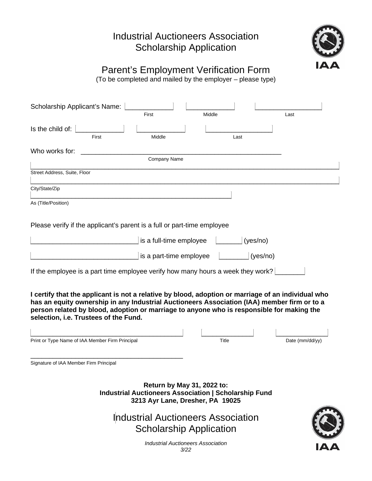

**IAA** 

# Parent's Employment Verification Form

(To be completed and mailed by the employer – please type)

| Scholarship Applicant's Name:                                                                                                                                                                                                                                                                                                           |                         |                                                                                                                                |                   |
|-----------------------------------------------------------------------------------------------------------------------------------------------------------------------------------------------------------------------------------------------------------------------------------------------------------------------------------------|-------------------------|--------------------------------------------------------------------------------------------------------------------------------|-------------------|
|                                                                                                                                                                                                                                                                                                                                         | First                   | Middle                                                                                                                         | Last              |
| Is the child of:                                                                                                                                                                                                                                                                                                                        |                         |                                                                                                                                |                   |
| First                                                                                                                                                                                                                                                                                                                                   | Middle                  | Last                                                                                                                           |                   |
| Who works for:                                                                                                                                                                                                                                                                                                                          |                         |                                                                                                                                |                   |
|                                                                                                                                                                                                                                                                                                                                         | Company Name            |                                                                                                                                |                   |
| Street Address, Suite, Floor                                                                                                                                                                                                                                                                                                            |                         |                                                                                                                                |                   |
| City/State/Zip                                                                                                                                                                                                                                                                                                                          |                         |                                                                                                                                |                   |
| As (Title/Position)                                                                                                                                                                                                                                                                                                                     |                         |                                                                                                                                |                   |
| Please verify if the applicant's parent is a full or part-time employee                                                                                                                                                                                                                                                                 |                         |                                                                                                                                |                   |
|                                                                                                                                                                                                                                                                                                                                         | is a full-time employee |                                                                                                                                | (yes/no)          |
|                                                                                                                                                                                                                                                                                                                                         | is a part-time employee |                                                                                                                                | (yes/no)          |
| If the employee is a part time employee verify how many hours a week they work?                                                                                                                                                                                                                                                         |                         |                                                                                                                                |                   |
| I certify that the applicant is not a relative by blood, adoption or marriage of an individual who<br>has an equity ownership in any Industrial Auctioneers Association (IAA) member firm or to a<br>person related by blood, adoption or marriage to anyone who is responsible for making the<br>selection, i.e. Trustees of the Fund. |                         |                                                                                                                                |                   |
|                                                                                                                                                                                                                                                                                                                                         |                         |                                                                                                                                |                   |
| Print or Type Name of IAA Member Firm Principal                                                                                                                                                                                                                                                                                         |                         | Title                                                                                                                          | Date $(mm/dd/yy)$ |
| Signature of IAA Member Firm Principal                                                                                                                                                                                                                                                                                                  |                         |                                                                                                                                |                   |
|                                                                                                                                                                                                                                                                                                                                         |                         | Return by May 31, 2022 to:<br><b>Industrial Auctioneers Association   Scholarship Fund</b><br>3213 Ayr Lane, Dresher, PA 19025 |                   |
|                                                                                                                                                                                                                                                                                                                                         |                         | <b>Industrial Auctioneers Association</b>                                                                                      |                   |
|                                                                                                                                                                                                                                                                                                                                         |                         | <b>Scholarship Application</b>                                                                                                 |                   |

*Industrial Auctioneers Association 3/22*